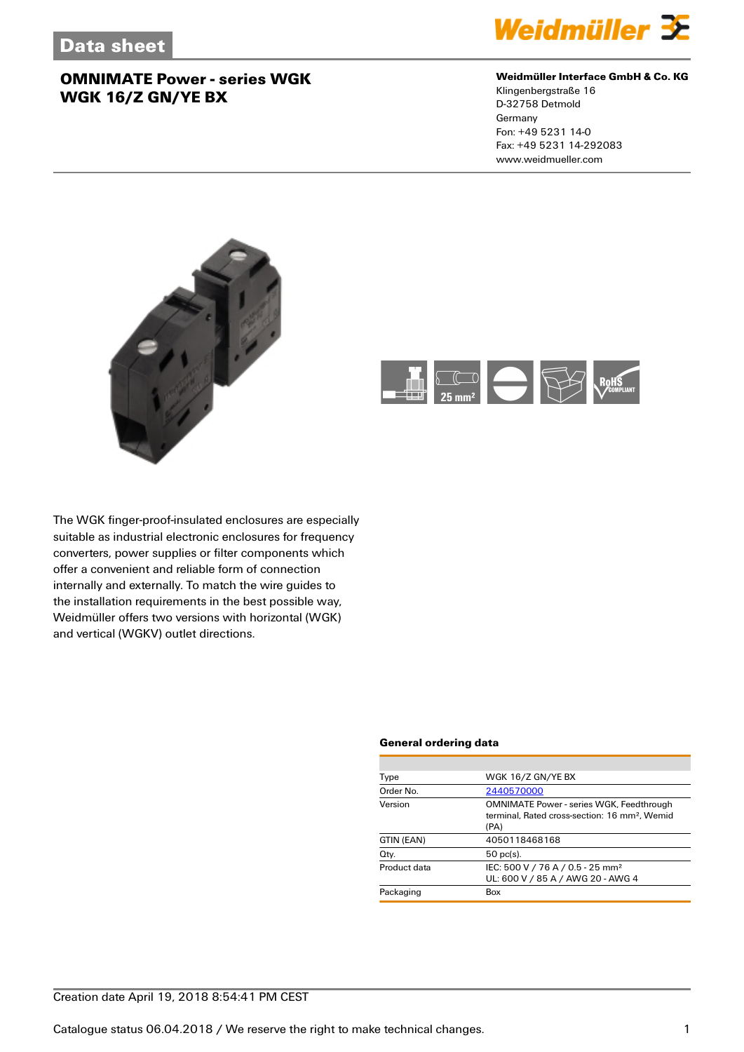

## **Weidmüller Interface GmbH & Co. KG**

Klingenbergstraße 16 D-32758 Detmold Germany Fon: +49 5231 14-0 Fax: +49 5231 14-292083 www.weidmueller.com





The WGK finger-proof-insulated enclosures are especially suitable as industrial electronic enclosures for frequency converters, power supplies or filter components which offer a convenient and reliable form of connection internally and externally. To match the wire guides to the installation requirements in the best possible way, Weidmüller offers two versions with horizontal (WGK) and vertical (WGKV) outlet directions.

#### **General ordering data**

| Type         | WGK 16/Z GN/YE BX                                                                                                    |  |  |
|--------------|----------------------------------------------------------------------------------------------------------------------|--|--|
| Order No.    | 2440570000                                                                                                           |  |  |
| Version      | <b>OMNIMATE Power - series WGK, Feedthrough</b><br>terminal. Rated cross-section: 16 mm <sup>2</sup> . Wemid<br>(PA) |  |  |
| GTIN (EAN)   | 4050118468168                                                                                                        |  |  |
| Qty.         | $50$ pc(s).                                                                                                          |  |  |
| Product data | IEC: 500 V / 76 A / 0.5 - 25 mm <sup>2</sup><br>UL: 600 V / 85 A / AWG 20 - AWG 4                                    |  |  |
| Packaging    | Box                                                                                                                  |  |  |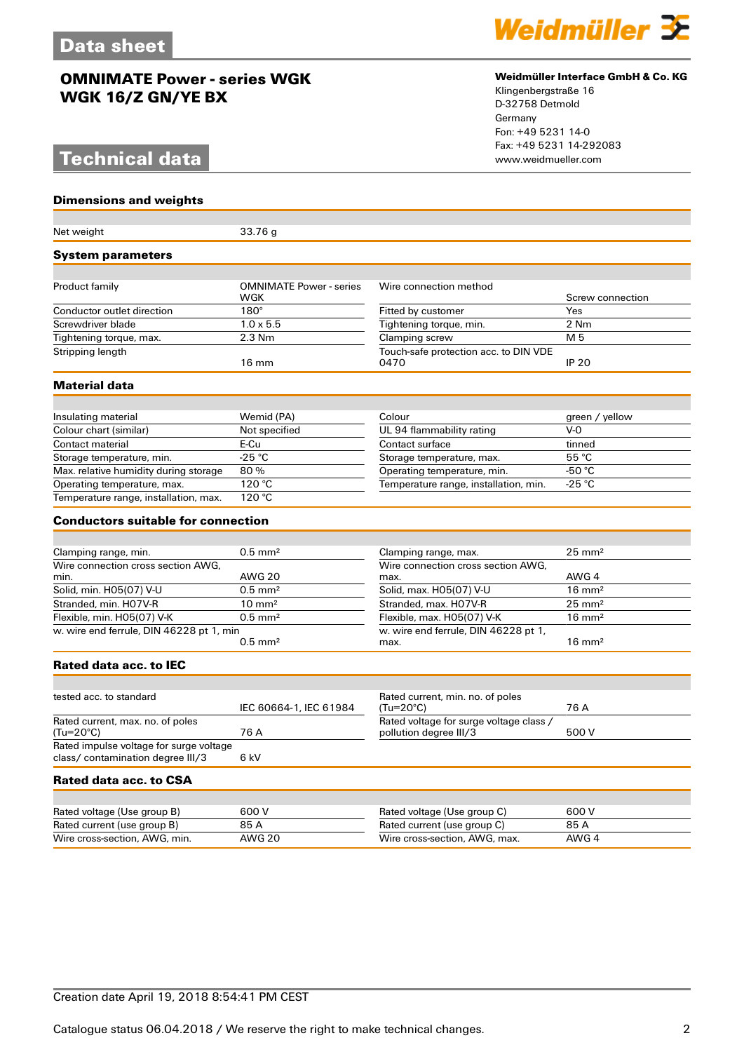# **Technical data**

## **Dimensions and weights**

| Net weight                                                                   | 33.76 g                               |                                                                   |                   |
|------------------------------------------------------------------------------|---------------------------------------|-------------------------------------------------------------------|-------------------|
| <b>System parameters</b>                                                     |                                       |                                                                   |                   |
|                                                                              |                                       |                                                                   |                   |
| Product family                                                               | <b>OMNIMATE Power - series</b><br>WGK | Wire connection method                                            | Screw connection  |
| Conductor outlet direction                                                   | $180^\circ$                           | Fitted by customer                                                | Yes               |
| Screwdriver blade                                                            | $1.0 \times 5.5$                      | Tightening torque, min.                                           | 2 Nm              |
| Tightening torque, max.                                                      | $2.3$ Nm                              | Clamping screw                                                    | M 5               |
| Stripping length                                                             | $16 \text{ mm}$                       | Touch-safe protection acc. to DIN VDE<br>0470                     | <b>IP 20</b>      |
| Material data                                                                |                                       |                                                                   |                   |
|                                                                              |                                       |                                                                   |                   |
| Insulating material                                                          | Wemid (PA)                            | Colour                                                            | green / yellow    |
| Colour chart (similar)                                                       | Not specified                         | UL 94 flammability rating                                         | $V-0$             |
| Contact material                                                             | E-Cu                                  | Contact surface                                                   | tinned            |
| Storage temperature, min.                                                    | $-25^{\circ}C$                        | Storage temperature, max.                                         | 55 °C             |
| Max. relative humidity during storage                                        | 80%                                   | Operating temperature, min.                                       | -50 $\degree$ C   |
| Operating temperature, max.                                                  | 120 °C                                | Temperature range, installation, min.                             | $-25$ °C          |
| Temperature range, installation, max.                                        | 120 °C                                |                                                                   |                   |
| <b>Conductors suitable for connection</b>                                    |                                       |                                                                   |                   |
|                                                                              |                                       |                                                                   |                   |
| Clamping range, min.                                                         | $0.5$ mm <sup>2</sup>                 | Clamping range, max.                                              | $25 \text{ mm}^2$ |
| Wire connection cross section AWG,                                           |                                       | Wire connection cross section AWG,                                |                   |
| min.                                                                         | <b>AWG 20</b>                         | max.                                                              | AWG 4             |
| Solid, min. H05(07) V-U                                                      | $0.5$ mm <sup>2</sup>                 | Solid, max. H05(07) V-U                                           | $16 \text{ mm}^2$ |
| Stranded, min. H07V-R                                                        | $10 \text{ mm}^2$                     | Stranded, max. H07V-R                                             | $25 \text{ mm}^2$ |
| Flexible, min. H05(07) V-K                                                   | $0.5$ mm <sup>2</sup>                 | Flexible, max. H05(07) V-K                                        | $16 \text{ mm}^2$ |
| w. wire end ferrule, DIN 46228 pt 1, min                                     | $0.5$ mm <sup>2</sup>                 | w. wire end ferrule, DIN 46228 pt 1,<br>max.                      | $16 \text{ mm}^2$ |
| <b>Rated data acc. to IEC</b>                                                |                                       |                                                                   |                   |
|                                                                              |                                       |                                                                   |                   |
| tested acc. to standard                                                      | IEC 60664-1, IEC 61984                | Rated current, min. no. of poles<br>(Tu=20°C)                     | 76 A              |
| Rated current, max. no. of poles<br>(Tu=20°C)                                | 76 A                                  | Rated voltage for surge voltage class /<br>pollution degree III/3 | 500 V             |
| Rated impulse voltage for surge voltage<br>class/ contamination degree III/3 | 6 kV                                  |                                                                   |                   |
| <b>Rated data acc. to CSA</b>                                                |                                       |                                                                   |                   |
|                                                                              |                                       |                                                                   |                   |
| Rated voltage (Use group B)                                                  | 600 V                                 | Rated voltage (Use group C)                                       | 600 V             |
| Rated current (use group B)                                                  | 85 A                                  | Rated current (use group C)                                       | 85 A              |
| Wire cross-section, AWG, min.                                                | <b>AWG 20</b>                         | Wire cross-section, AWG, max.                                     | AWG 4             |



## **Weidmüller Interface GmbH & Co. KG**

Klingenbergstraße 16 D-32758 Detmold Germany Fon: +49 5231 14-0 Fax: +49 5231 14-292083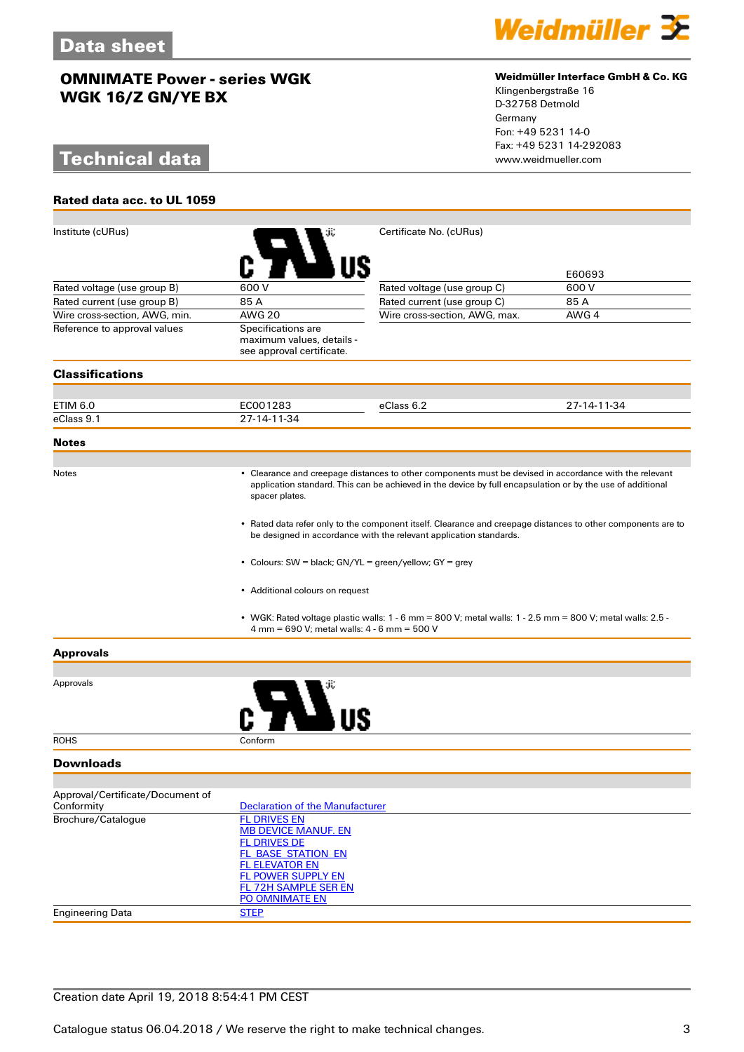# **Technical data**

**Rated data acc. to UL 1059**



## **Weidmüller Interface GmbH & Co. KG**

Klingenbergstraße 16 D-32758 Detmold Germany Fon: +49 5231 14-0 Fax: +49 5231 14-292083

| Institute (cURus)                                                                                                                                                                  |                                                                                                                                                                                                                                        | Certificate No. (cURus)                                                                                   |             |  |  |
|------------------------------------------------------------------------------------------------------------------------------------------------------------------------------------|----------------------------------------------------------------------------------------------------------------------------------------------------------------------------------------------------------------------------------------|-----------------------------------------------------------------------------------------------------------|-------------|--|--|
|                                                                                                                                                                                    |                                                                                                                                                                                                                                        |                                                                                                           |             |  |  |
|                                                                                                                                                                                    |                                                                                                                                                                                                                                        |                                                                                                           | E60693      |  |  |
| Rated voltage (use group B)                                                                                                                                                        | 600 V                                                                                                                                                                                                                                  | Rated voltage (use group C)                                                                               | 600 V       |  |  |
| Rated current (use group B)                                                                                                                                                        | 85 A                                                                                                                                                                                                                                   | Rated current (use group C)                                                                               | 85 A        |  |  |
| Wire cross-section, AWG, min.                                                                                                                                                      | <b>AWG 20</b>                                                                                                                                                                                                                          | Wire cross-section, AWG, max.                                                                             | AWG 4       |  |  |
| Reference to approval values                                                                                                                                                       | Specifications are                                                                                                                                                                                                                     |                                                                                                           |             |  |  |
|                                                                                                                                                                                    | maximum values, details -<br>see approval certificate.                                                                                                                                                                                 |                                                                                                           |             |  |  |
| <b>Classifications</b>                                                                                                                                                             |                                                                                                                                                                                                                                        |                                                                                                           |             |  |  |
|                                                                                                                                                                                    |                                                                                                                                                                                                                                        |                                                                                                           |             |  |  |
| ETIM 6.0                                                                                                                                                                           | EC001283                                                                                                                                                                                                                               | eClass 6.2                                                                                                | 27-14-11-34 |  |  |
| eClass 9.1                                                                                                                                                                         | 27-14-11-34                                                                                                                                                                                                                            |                                                                                                           |             |  |  |
| <b>Notes</b>                                                                                                                                                                       |                                                                                                                                                                                                                                        |                                                                                                           |             |  |  |
|                                                                                                                                                                                    |                                                                                                                                                                                                                                        |                                                                                                           |             |  |  |
| Notes                                                                                                                                                                              | • Clearance and creepage distances to other components must be devised in accordance with the relevant<br>application standard. This can be achieved in the device by full encapsulation or by the use of additional<br>spacer plates. |                                                                                                           |             |  |  |
| • Rated data refer only to the component itself. Clearance and creepage distances to other components are to<br>be designed in accordance with the relevant application standards. |                                                                                                                                                                                                                                        |                                                                                                           |             |  |  |
|                                                                                                                                                                                    | • Colours: SW = black; GN/YL = green/yellow; GY = grey<br>• Additional colours on request                                                                                                                                              |                                                                                                           |             |  |  |
|                                                                                                                                                                                    |                                                                                                                                                                                                                                        |                                                                                                           |             |  |  |
|                                                                                                                                                                                    | 4 mm = 690 V; metal walls: 4 - 6 mm = 500 V                                                                                                                                                                                            | • WGK: Rated voltage plastic walls: 1 - 6 mm = 800 V; metal walls: 1 - 2.5 mm = 800 V; metal walls: 2.5 - |             |  |  |
| <b>Approvals</b>                                                                                                                                                                   |                                                                                                                                                                                                                                        |                                                                                                           |             |  |  |
|                                                                                                                                                                                    |                                                                                                                                                                                                                                        |                                                                                                           |             |  |  |
| Approvals                                                                                                                                                                          |                                                                                                                                                                                                                                        |                                                                                                           |             |  |  |
| <b>ROHS</b>                                                                                                                                                                        | Conform                                                                                                                                                                                                                                |                                                                                                           |             |  |  |
| <b>Downloads</b>                                                                                                                                                                   |                                                                                                                                                                                                                                        |                                                                                                           |             |  |  |
|                                                                                                                                                                                    |                                                                                                                                                                                                                                        |                                                                                                           |             |  |  |
| Approval/Certificate/Document of<br>Conformity                                                                                                                                     | <b>Declaration of the Manufacturer</b>                                                                                                                                                                                                 |                                                                                                           |             |  |  |
| Brochure/Catalogue                                                                                                                                                                 | <b>FL DRIVES EN</b>                                                                                                                                                                                                                    |                                                                                                           |             |  |  |
|                                                                                                                                                                                    | <b>MB DEVICE MANUF. EN</b>                                                                                                                                                                                                             |                                                                                                           |             |  |  |
|                                                                                                                                                                                    | <b>FL DRIVES DE</b><br><b>FL_BASE_STATION_EN</b>                                                                                                                                                                                       |                                                                                                           |             |  |  |
|                                                                                                                                                                                    | <b>FL ELEVATOR EN</b>                                                                                                                                                                                                                  |                                                                                                           |             |  |  |
|                                                                                                                                                                                    | <b>FL POWER SUPPLY EN</b>                                                                                                                                                                                                              |                                                                                                           |             |  |  |
|                                                                                                                                                                                    | <b>FL 72H SAMPLE SER EN</b>                                                                                                                                                                                                            |                                                                                                           |             |  |  |
| <b>Engineering Data</b>                                                                                                                                                            | PO OMNIMATE EN<br><b>STEP</b>                                                                                                                                                                                                          |                                                                                                           |             |  |  |
|                                                                                                                                                                                    |                                                                                                                                                                                                                                        |                                                                                                           |             |  |  |

## Creation date April 19, 2018 8:54:41 PM CEST

Catalogue status 06.04.2018 / We reserve the right to make technical changes. 33